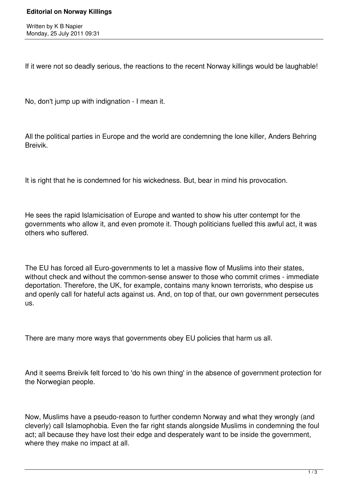If it were not so deadly serious, the reactions to the recent Norway killings would be laughable!

No, don't jump up with indignation - I mean it.

All the political parties in Europe and the world are condemning the lone killer, Anders Behring Breivik.

It is right that he is condemned for his wickedness. But, bear in mind his provocation.

He sees the rapid Islamicisation of Europe and wanted to show his utter contempt for the governments who allow it, and even promote it. Though politicians fuelled this awful act, it was others who suffered.

The EU has forced all Euro-governments to let a massive flow of Muslims into their states, without check and without the common-sense answer to those who commit crimes - immediate deportation. Therefore, the UK, for example, contains many known terrorists, who despise us and openly call for hateful acts against us. And, on top of that, our own government persecutes us.

There are many more ways that governments obey EU policies that harm us all.

And it seems Breivik felt forced to 'do his own thing' in the absence of government protection for the Norwegian people.

Now, Muslims have a pseudo-reason to further condemn Norway and what they wrongly (and cleverly) call Islamophobia. Even the far right stands alongside Muslims in condemning the foul act; all because they have lost their edge and desperately want to be inside the government, where they make no impact at all.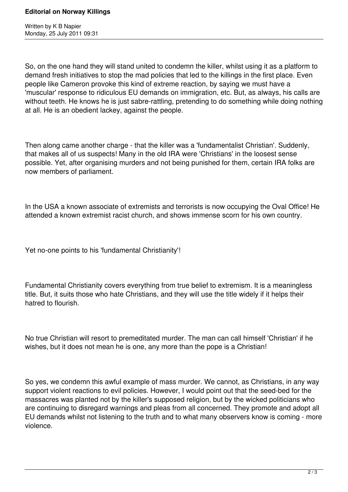Written by K B Napier Monday, 25 July 2011 09:31

So, on the one hand they will stand united to condemn the killer, whilst using it as a platform to demand fresh initiatives to stop the mad policies that led to the killings in the first place. Even people like Cameron provoke this kind of extreme reaction, by saying we must have a 'muscular' response to ridiculous EU demands on immigration, etc. But, as always, his calls are without teeth. He knows he is just sabre-rattling, pretending to do something while doing nothing at all. He is an obedient lackey, against the people.

Then along came another charge - that the killer was a 'fundamentalist Christian'. Suddenly, that makes all of us suspects! Many in the old IRA were 'Christians' in the loosest sense possible. Yet, after organising murders and not being punished for them, certain IRA folks are now members of parliament.

In the USA a known associate of extremists and terrorists is now occupying the Oval Office! He attended a known extremist racist church, and shows immense scorn for his own country.

Yet no-one points to his 'fundamental Christianity'!

Fundamental Christianity covers everything from true belief to extremism. It is a meaningless title. But, it suits those who hate Christians, and they will use the title widely if it helps their hatred to flourish.

No true Christian will resort to premeditated murder. The man can call himself 'Christian' if he wishes, but it does not mean he is one, any more than the pope is a Christian!

So yes, we condemn this awful example of mass murder. We cannot, as Christians, in any way support violent reactions to evil policies. However, I would point out that the seed-bed for the massacres was planted not by the killer's supposed religion, but by the wicked politicians who are continuing to disregard warnings and pleas from all concerned. They promote and adopt all EU demands whilst not listening to the truth and to what many observers know is coming - more violence.